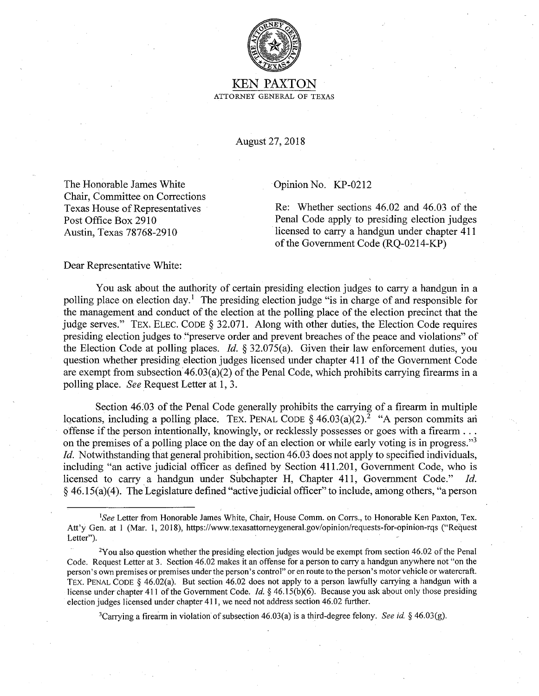

KEN PAXTON ATTORNEY GENERAL OF TEXAS

August 27, 2018

The Honorable James White Chair, Committee on Corrections Texas House of Representatives Post Office Box 2910 Austin, Texas 78768-2910

Opinion No. KP-0212

Re: Whether sections 46.02 and 46.03 of the Penal Code apply to presiding election judges licensed to carry a handgun under chapter 411 of the Government Code (RQ-0214-KP)

Dear Representative White:

You ask about the authority of certain presiding election judges to carry a handgun in a polling place on election day.<sup>1</sup> The presiding election judge "is in charge of and responsible for the management and conduct of the election at the polling place of the election precinct that the judge serves." TEX. ELEC. CODE§ 32.071. Along with other duties, the Election Code requires presiding election judges to "preserve order and prevent breaches of the peace and violations" of the Election Code at polling places. *Id.* § 32.075(a). Given their law enforcement duties, you question whether presiding election judges licensed under chapter 411 of the Government Code are exempt from subsection  $46.03(a)(2)$  of the Penal Code, which prohibits carrying firearms in a polling place. *See* Request Letter at 1, 3.

Section 46.03 of the Penal Code generally prohibits the carrying of a firearm in multiple locations, including a polling place. TEX. PENAL CODE  $\S$  46.03(a)(2).<sup>2</sup> "A person commits and offense if the person intentionally, knowingly, or recklessly possesses or goes with a firearm ... on the premises of a polling place on the day of an election or while early voting is in progress."<sup>3</sup> *Id.* Notwithstanding that general prohibition, section 46.03 does not apply to specified individuals, including "an active judicial officer as defined by Section  $411.201$ , Government Code, who is licensed to carry. a handgun under Subchapter H, Chapter 411, Government Code." *Id.*   $§$  46.15(a)(4). The Legislature defined "active judicial officer" to include, among others, "a person

3Carrying a firearm in violation of subsection 46.03(a) is a third-degree felony. *See id.* § 46.03(g).

<sup>&</sup>lt;sup>1</sup>See Letter from Honorable James White, Chair, House Comm. on Corrs., to Honorable Ken Paxton, Tex. Att'y Gen. at 1 (Mar. 1, 2018), https://www.texasattomeygeneral.gov/opinion/requests-for-opinion-rqs ("Request Letter").

 $2$ Y ou also question whether the presiding election judges would be exempt from section 46.02 of the Penal Code. Request Letter at 3. Section 46.02 makes it an offense for a person to carry a handgun anywhere not "on the person's own premises or premises under the person's control" or en route to the person's motor vehicle or watercraft. TEX. PENAL CODE § 46.02(a). But section 46.02 does not apply to a person lawfully carrying a handgun with a license under chapter 411 of the Government Code. *Id.§* 46.15(b)(6). Because you ask about only those presiding election judges licensed under chapter 411, we need not address section 46.02 further.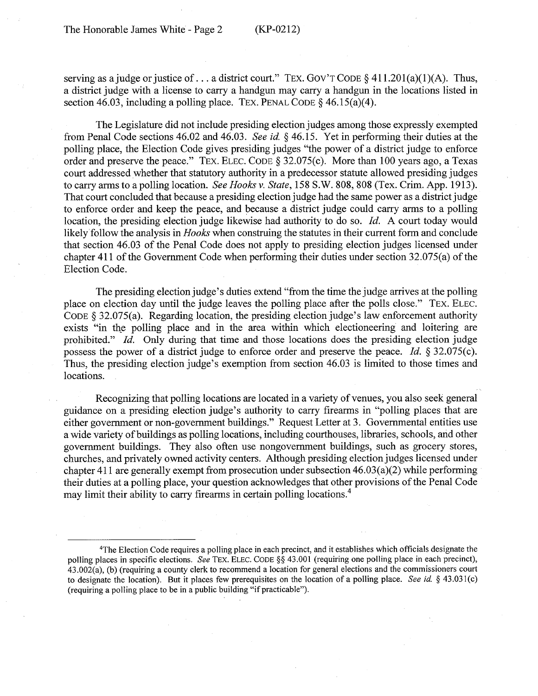serving as a judge or justice of ... a district court." TEX. GOV'T CODE  $\S$  411.201(a)(1)(A). Thus, a district judge with a license to carry a handgun may carry a handgun in the locations listed in section 46.03, including a polling place. TEX. PENAL CODE  $\S$  46.15(a)(4).

The Legislature did not include presiding election judges among those expressly exempted from Penal Code sections 46.02 and 46.03. *See id.* § 46.15. Yet in performing their duties at the polling place, the Election Code gives presiding judges "the power of a district judge to enforce order and preserve the peace." TEX. ELEC. CODE§ 32.075(c). More than 100 years ago, a Texas court addressed whether that statutory authority in a predecessor statute allowed presiding judges to carry arms to a polling location. *See Hooks v. State,* 158 S.W. 808, 808 (Tex. Crim. App. 1913). That court concluded that because a presiding election judge had the same power as a district judge to enforce order and keep the peace, and because a district judge could carry arms to a polling location, the presiding election judge likewise had authority to do so. *Id.* A court today would likely follow the analysis in *Hooks* when construing the statutes in their current form and conclude that section 46.03 of the Penal Code does not apply to presiding election judges licensed under chapter 411 of the Government Code when performing their duties under section 32.075(a) of the Election Code.

The presiding election judge's duties extend "from the time the judge arrives at the polling place on election day until the judge leaves the polling place after the polls close." TEX. ELEC. CODE§ 32.075(a). Regarding location, the presiding election judge's law enforcement authority exists "in the polling place and in the area within which electioneering and loitering are prohibited." *Id.* Only during that time and those locations does the presiding election judge possess the power of a district judge to enforce order and preserve the peace. *Id.* § 32.075(c). Thus, the presiding election judge's exemption from section 46.03 is limited to those times and locations.

Recognizing that polling locations are located in a variety of venues, you also seek general guidance on a presiding election judge's authority to carry firearms in "polling places that are either government or non-government buildings." Request Letter at 3. Governmental entities use a wide variety of buildings as polling locations, including courthouses, libraries, schools, arid other government buildings. They also often use nongovernment buildings, such as grocery stores, churches, and privately owned activity centers. Although presiding election judges licensed under chapter 411 are generally exempt from prosecution under subsection  $46.03(a)(2)$  while performing their duties at a polling place, your question acknowledges that other provisions of the Penal Code may limit their ability to carry firearms in certain polling locations.<sup>4</sup>

<sup>4</sup>The Election Code requires a polling place in each precinct, and it establishes which officials designate the polling places in specific elections. *See* TEX. ELEC. CODE §§ 43.001 (requiring one polling place in each precinct), 43.002(a), (b) (requiring a county clerk to recommend a location for general elections and the commissioners court to designate the location). But it places few prerequisites on the location of a polling place. *See id.* § 43.03 l(c) (requiring a polling place to be in a public building "if practicable").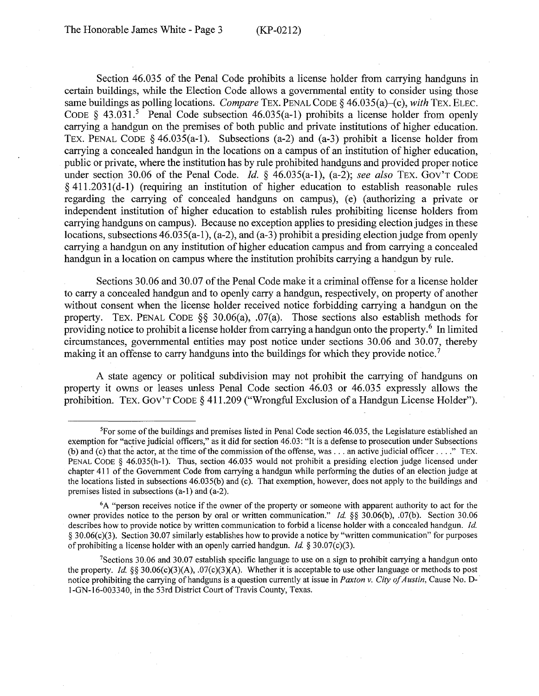Section 46.035 of the Penal Code prohibits a license holder from carrying handguns in certain buildings, while the Election Code allows a governmental entity to consider using those same buildings as polling locations. *Compare* TEX. PENAL CODE § 46.035(a)–(c), *with* TEX. ELEC. CODE  $\S$  43.031.<sup>5</sup> Penal Code subsection 46.035(a-1) prohibits a license holder from openly carrying a handgun on the premises of both public and private institutions of higher education. TEX. PENAL CODE  $\delta$  46.035(a-1). Subsections (a-2) and (a-3) prohibit a license holder from carrying a concealed handgun in the locations on a campus of an institution of higher education, public or private, where the institution has by rule prohibited handguns and provided proper notice under section 30.06 of the Penal Code. *Id.* § 46.035(a-1), (a-2); *see also* TEX. GOV'T CODE  $§$  411.2031(d-1) (requiring an institution of higher education to establish reasonable rules regarding the carrying of concealed handguns on campus), (e) (authorizing a private or independent institution of higher education to establish rules prohibiting license holders from carrying handguns on campus). Because no exception applies to presiding election judges in these locations, subsections  $46.035(a-1)$ ,  $(a-2)$ , and  $(a-3)$  prohibit a presiding election judge from openly carrying a handgun on any institution of higher education campus and from carrying a concealed handgun in a location on campus where the institution prohibits carrying a handgun by rule.

Sections 30.06 and 30.07 of the Penal Code make it a criminal offense for a license holder to carry a concealed handgun and to openly carry a handgun, respectively, on property of another without consent when the license holder received notice forbidding carrying a handgun on the property. TEX. PENAL CODE  $\S$ § 30.06(a), .07(a). Those sections also establish methods for providing notice to prohibit a license holder from carrying a handgun onto the property.<sup>6</sup> In limited circumstances, governmental entities may post notice under sections 30.06 and 30.07, thereby making it an offense to carry handguns into the buildings for which they provide notice.<sup>7</sup>

A state agency or political subdivision may not prohibit the carrying of handguns on property it owns or leases unless Penal Code section 46.03 or 46.035 expressly allows the prohibition. TEX. GOV'T CODE § 411.209 ("Wrongful Exclusion of a Handgun License Holder").

<sup>5</sup>For some of the buildings and premises listed in Penal Code section 46.035, the Legislature established an exemption for "active judicial officers," as it did for section 46.03: "It is a defense to prosecution under Subsections (b) and (c) that the actor, at the time of the commission of the offense, was ... an active judicial officer .... " TEX. PENAL CODE § 46.035(h-I). Thus, section 46.035 would not prohibit a presiding election judge licensed under chapter 4 I I of the Government Code from carrying a handgun while performing the duties of an election judge at the locations listed in subsections 46.035(b) and (c). That exemption, however, does not apply to the buildings and premises listed in subsections (a-I) and (a-2).

<sup>6</sup>A "person receives notice if the owner of the property or someone with apparent authority to act for the owner provides notice to the person by oral or written communication." *Id.* §§ 30.06(b), .07(b). Section 30.06 describes how to provide notice by written communication to forbid a license holder with a concealed handgun. *Id.*  § 30.06(c)(3). Section 30.07 similarly establishes how to provide a notice by "written communication" for purposes of prohibiting a license holder with an openly carried handgun. *Id.* § 30.07(c)(3).

<sup>&</sup>lt;sup>7</sup>Sections 30.06 and 30.07 establish specific language to use on a sign to prohibit carrying a handgun onto the property. *Id.* §§ 30.06(c)(3)(A), .07(c)(3)(A). Whether it is acceptable to use other language or methods to post notice prohibiting the carrying of handguns is a question currently at issue in *Paxton v. City of Austin,* Cause No. D- · I-GN-16-003340, in the 53rd District Court of Travis County, Texas.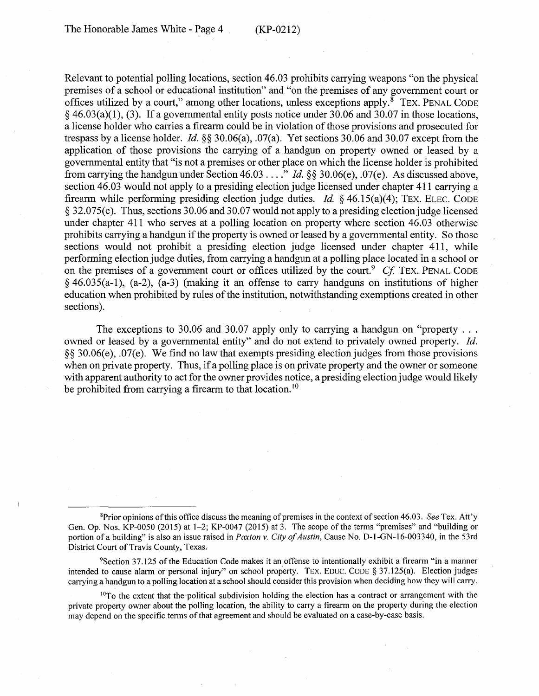Relevant to potential polling locations, section 46.03 prohibits carrying weapons "on the physical premises of a school or educational institution" and "on the premises of any government court or offices utilized by a court," among other locations, unless exceptions apply. $\frac{8}{3}$  TEX. PENAL CODE  $§$  46.03(a)(1), (3). If a governmental entity posts notice under 30.06 and 30.07 in those locations, a license holder who carries a firearm could be in violation of those provisions and prosecuted for trespass by a license holder. *Id.* §§ 30.06(a), .07(a). Yet sections 30.06 and 30.07 except from the application of those provisions the carrying of a handgun on property owned or leased by a governmental entity that "is not a premises or other place on which the license holder is prohibited from carrying the handgun under Section 46.03 .... " *Id.§§* 30.06(e), .07(e). As discussed above, section 46.03 would not apply to a presiding election judge licensed under chapter 411 carrying a firearm while performing presiding election judge duties. *Id.* § 46.15(a)(4); TEX. ELEC. CODE § 32.075(c). Thus, sections 30.06 and 30.07 would not apply to a presiding election judge licensed under chapter 411 who serves at a polling location on property where section 46.03 otherwise prohibits carrying a handgun if the property is owned or leased by a governmental entity. So those sections would not prohibit a presiding election judge licensed under chapter 411, while performing election judge duties, from carrying a handgun at a polling place located in a school or on the premises of a government court or offices utilized by the court.<sup>9</sup> Cf. TEX. PENAL CODE  $§$  46.035(a-1), (a-2), (a-3) (making it an offense to carry handguns on institutions of higher education when prohibited by rules of the institution, notwithstanding exemptions created in other sections).

The exceptions to 30.06 and 30.07 apply only to carrying a handgun on "property  $\dots$ owned or leased by a governmental entity" and do not extend to privately owned property. *Id.*  §§ 30.06(e), .07(e). We find no law that exempts presiding election judges from those provisions when on private property. Thus, if a polling place is on private property and the owner or someone with apparent authority to act for the owner provides notice, a presiding election judge would likely be prohibited from carrying a firearm to that location.<sup>10</sup>

<sup>9</sup>Section 37.125 of the Education Code makes it an offense to intentionally exhibit a firearm "in a mariner intended to cause alarm or personal injury" on school property. TEX. EDUC. CODE § 37.125(a). Election judges carrying a handgun to a polling location at a school should consider this provision when deciding how they will carry.

 $10T<sub>O</sub>$  the extent that the political subdivision holding the election has a contract or arrangement with the private property owner about the polling location, the ability to carry a firearm on the property during the election may depend on the specific terms of that agreement and should be evaluated on a case-by-case basis.

<sup>8</sup>Prior opinions of this office discuss the meaning of premises in the context of section 46.03. *See* Tex. Att'y Gen. Op. Nos. KP-0050 (2015) at 1-2; KP-0047 (2015) at 3. The scope of the terms "premises" and "building or portion of a building" is also an issue raised in *Paxton v. City of Austin*, Cause No. D-1-GN-16-003340, in the 53rd District Court of Travis County, Texas,